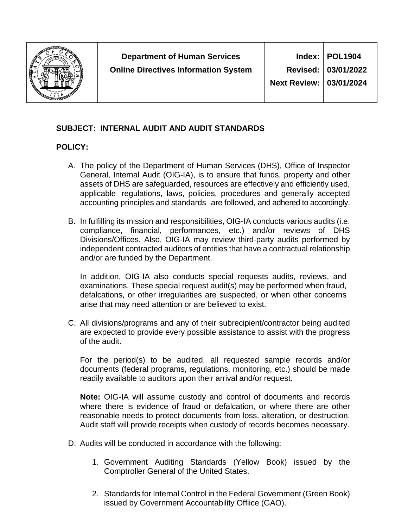

# **03/01/2024**

# **SUBJECT: INTERNAL AUDIT AND AUDIT STANDARDS**

# **POLICY:**

- A. The policy of the Department of Human Services (DHS), Office of Inspector General, Internal Audit (OIG-IA), is to ensure that funds, property and other assets of DHS are safeguarded, resources are effectively and efficiently used, applicable regulations, laws, policies, procedures and generally accepted accounting principles and standards are followed, and adhered to accordingly.
- B. In fulfilling its mission and responsibilities, OIG-IA conducts various audits (i.e. compliance, financial, performances, etc.) and/or reviews of DHS Divisions/Offices. Also, OIG-IA may review third-party audits performed by independent contracted auditors of entities that have a contractual relationship and/or are funded by the Department.

In addition, OIG-IA also conducts special requests audits, reviews, and examinations. These special request audit(s) may be performed when fraud, defalcations, or other irregularities are suspected, or when other concerns arise that may need attention or are believed to exist.

C. All divisions/programs and any of their subrecipient/contractor being audited are expected to provide every possible assistance to assist with the progress of the audit.

For the period(s) to be audited, all requested sample records and/or documents (federal programs, regulations, monitoring, etc.) should be made readily available to auditors upon their arrival and/or request.

**Note:** OIG-IA will assume custody and control of documents and records where there is evidence of fraud or defalcation, or where there are other reasonable needs to protect documents from loss, alteration, or destruction. Audit staff will provide receipts when custody of records becomes necessary.

- D. Audits will be conducted in accordance with the following:
	- 1. Government Auditing Standards (Yellow Book) issued by the Comptroller General of the United States.
	- 2. Standards for Internal Control in the Federal Government (Green Book) issued by Government Accountability Offiice (GAO).